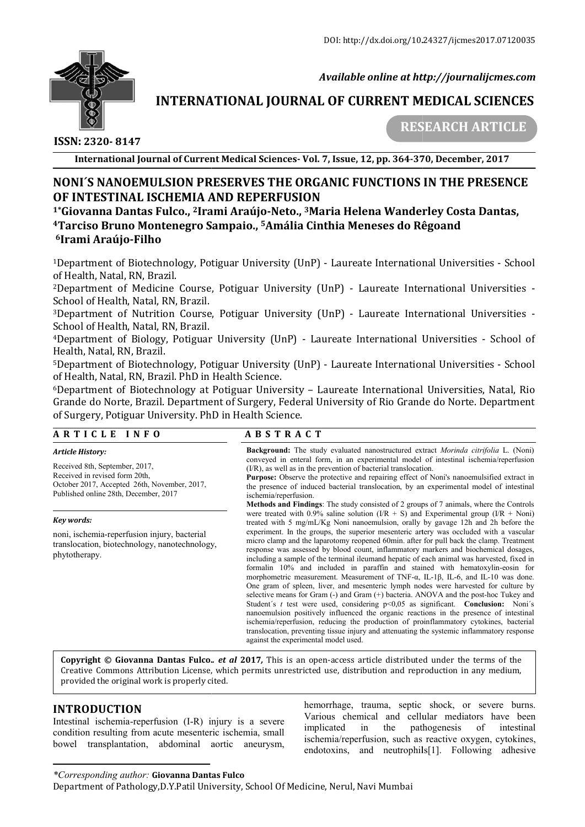

 *Available online at http://journalijcmes.com*

# **INTERNATIONAL JOURNAL OF CURRENT MEDICAL SCIENCES SCIENCES**

 **ISSN: 2320- 8147**

 **RESEARCH ARTICLE**

**International Journal of Current Medical Sciences Sciences- Vol. 7, Issue, 12, pp. 364-370**

# **NONI´S NANOEMULSION PRESERVES THE ORGANIC FUNCTIONS IN THE PRESENCE OF INTESTINAL ISCHEMIA AND REPERFUSION** NONI´S NANOEMULSION PRESERVES THE ORGANIC FUNCTIONS IN THE PRESENC<br>OF INTESTINAL ISCHEMIA AND REPERFUSION<br><sup>1\*</sup>Giovanna Dantas Fulco., <sup>2</sup>Irami Araújo-Neto., <sup>3</sup>Maria Helena Wanderley Costa Dantas,

**4Tarciso Bruno Montenegro Sampaio Tarciso Sampaio., 5Amália Cinthia Meneses do Rêgoand Amália 6Irami Araújo-Filho**

<sup>1</sup>Department of Biotechnology, Potiguar University (UnP) - Laureate International Universities - School of Health, Natal, RN, Brazil.

<sup>2</sup>Department of Medicine Course, Potiguar University (UnP) - Laureate International Universities -School of Health, Natal, RN, Brazil.

<sup>3</sup>Department of Nutrition Course, Potiguar University (UnP) - Laureate International Universities -School of Health, Natal, RN, Brazil.

<sup>4</sup>Department of Biology, Potiguar University (UnP) - Laureate International Universities - School of Health, Natal, RN, Brazil.

5Department of Biotechnology, Potiguar University (UnP) - Laureate International Universities - School of Health, Natal, RN, Brazil. PhD in Health Science.

6Department of Biotechnology at Potiguar University – Laureate International Universities, Nata Natal, Rio Grande do Norte, Brazil. Department of Surgery, Federal University of Rio Grande do Norte. Department of Surgery, Potiguar University. PhD in Health Science.

### **A R T I C L E I N F O**

#### *Article History:*

Received 8th, September, 2017, Received in revised form 20th, October 2017, Accepted 26th, November, 2017, Published online 28th, December, 2017

#### *Key words:*

noni, ischemia-reperfusion injury, bacterial translocation, biotechnology, nanotechnology, phytotherapy.

# **A B S T R A C T**

**Background:** The study evaluated nanostructured extract *Morinda citrifolia* L. (Noni) conveyed in enteral form, in an experimental model of intestinal ischemia/reperfusion (I/R), as well as in the prevention of bacterial translocation.

**Purpose:** Observe the protective and repairing effect of Noni's nanoemulsified extract in the presence of induced bacterial translocation, by an experimental model of intestinal ischemia/reperfusion. as in the prevention of bacterial translocation.<br>serve the protective and repairing effect of Noni's nanoemulsified extract in<br>of induced bacterial translocation, by an experimental model of intestinal

**Methods and Findings**: The study consisted of 2 groups of 7 animals, where the Controls were treated with 0.9% saline solution  $(1/R + S)$  and Experimental group  $(1/R + N)$ oni) **Methods and Findings**: The study consisted of 2 groups of 7 animals, where the Controls were treated with 0.9% saline solution ( $I/R + S$ ) and Experimental group ( $I/R + Noni$ ) treated with 5 mg/mL/Kg Noni nanoemulsion, orally b experiment. In the groups, the superior mesenteric artery was occluded with a vascular experiment. In the groups, the superior mesenteric artery was occluded with a vascular micro clamp and the laparotomy reopened 60min. after for pull back the clamp. Treatment response was assessed by blood count, inflammatory markers and biochemical dosages, including a sample of the terminal ileumand hepatic of each animal was harvested, fixed in response was assessed by blood count, inflammatory markers and biochemical dosages, including a sample of the terminal ileumand hepatic of each animal was harvested, fixed in formalin 10% and included in paraffin and stain morphometric measurement. Measurement of TNF- $\alpha$ , IL-1 $\beta$ , IL-6, and IL-10 was done. One gram of spleen, liver, and mesenteric lymph nodes were harvested for culture by One gram of spleen, liver, and mesenteric lymph nodes were harvested for culture by selective means for Gram (-) and Gram (+) bacteria. ANOVA and the post-hoc Tukey and Student's *t* test were used, considering p<0,05 as significant. **Conclusion:** Noni's nanoemulsion positively influenced the organic reactions in the presence of intestinal ischemia/reperfusion, reducing the production of proinflammatory cytokines, bacterial translocation, preventing tissue injury and attenuating the systemic inflammatory response against the experimental model used. 7, Issue, 12, pp. 364-370, December, 2017<br>
ANIC FUNCTIONS IN THE PRESENCE<br>
aria Helena Wanderley Costa Dantas,<br>
aria Helena Wanderley Costa Dantas,<br>
thia Meneses do Rêgoand<br>
Universities - School of<br>
UnP) - Laureate Intern

**Copyright © Giovanna Dantas Fulco.** *. et al* **2017***,* This is an open-access article distributed under the terms of the **Copyright © Giovanna Dantas Fulco..** *et al* **2017,** This is an open-access article distributed under the terms of the<br>Creative Commons Attribution License, which permits unrestricted use, distribution and reproduction in a provided the original work is properly cited.

# **INTRODUCTION**

Intestinal ischemia-reperfusion (I-R) injury is a severe condition resulting from acute mesenteric ischemia, small bowel transplantation, abdominal aortic aneurysm,

hemorrhage, trauma, septic shock, or severe burns.<br>
R) injury is a severe interval and cellular mediators have been<br>
intervalsed by the settle served intervalsed implicated in the pathogenesis of intestinal ischemia/reperfusion, such as reactive oxygen, cytokines, endotoxins, and neutrophils[1]. Following adhesive

*\*Corresponding author:* **Giovanna Dantas Fulco**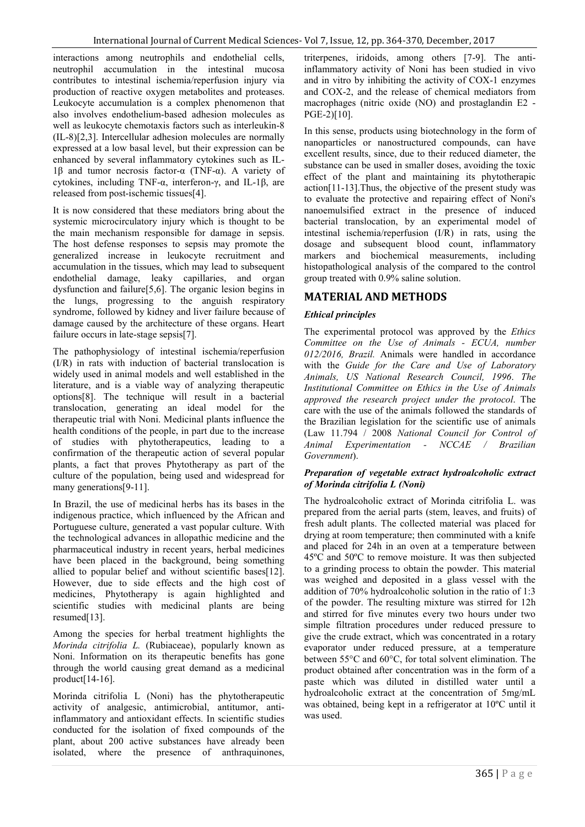interactions among neutrophils and endothelial cells, neutrophil accumulation in the intestinal mucosa contributes to intestinal ischemia/reperfusion injury via production of reactive oxygen metabolites and proteases. Leukocyte accumulation is a complex phenomenon that also involves endothelium-based adhesion molecules as well as leukocyte chemotaxis factors such as interleukin-8 (IL-8)[2,3]. Intercellular adhesion molecules are normally expressed at a low basal level, but their expression can be enhanced by several inflammatory cytokines such as IL-1β and tumor necrosis factor-α (TNF-α). A variety of cytokines, including TNF-α, interferon-γ, and IL-1β, are released from post-ischemic tissues[4].

It is now considered that these mediators bring about the systemic microcirculatory injury which is thought to be the main mechanism responsible for damage in sepsis. The host defense responses to sepsis may promote the generalized increase in leukocyte recruitment and accumulation in the tissues, which may lead to subsequent endothelial damage, leaky capillaries, and organ dysfunction and failure[5,6]. The organic lesion begins in the lungs, progressing to the anguish respiratory syndrome, followed by kidney and liver failure because of damage caused by the architecture of these organs. Heart failure occurs in late-stage sepsis[7].

The pathophysiology of intestinal ischemia/reperfusion (I/R) in rats with induction of bacterial translocation is widely used in animal models and well established in the literature, and is a viable way of analyzing therapeutic options[8]. The technique will result in a bacterial translocation, generating an ideal model for the therapeutic trial with Noni. Medicinal plants influence the health conditions of the people, in part due to the increase of studies with phytotherapeutics, leading to a confirmation of the therapeutic action of several popular plants, a fact that proves Phytotherapy as part of the culture of the population, being used and widespread for many generations [9-11].

In Brazil, the use of medicinal herbs has its bases in the indigenous practice, which influenced by the African and Portuguese culture, generated a vast popular culture. With the technological advances in allopathic medicine and the pharmaceutical industry in recent years, herbal medicines have been placed in the background, being something allied to popular belief and without scientific bases[12]. However, due to side effects and the high cost of medicines, Phytotherapy is again highlighted and scientific studies with medicinal plants are being resumed[13].

Among the species for herbal treatment highlights the *Morinda citrifolia L.* (Rubiaceae), popularly known as Noni. Information on its therapeutic benefits has gone through the world causing great demand as a medicinal product[14-16].

Morinda citrifolia L (Noni) has the phytotherapeutic activity of analgesic, antimicrobial, antitumor, antiinflammatory and antioxidant effects. In scientific studies conducted for the isolation of fixed compounds of the plant, about 200 active substances have already been isolated, where the presence of anthraquinones,

triterpenes, iridoids, among others [7-9]. The antiinflammatory activity of Noni has been studied in vivo and in vitro by inhibiting the activity of COX-1 enzymes and COX-2, and the release of chemical mediators from macrophages (nitric oxide (NO) and prostaglandin E2 - PGE-2)[10].

In this sense, products using biotechnology in the form of nanoparticles or nanostructured compounds, can have excellent results, since, due to their reduced diameter, the substance can be used in smaller doses, avoiding the toxic effect of the plant and maintaining its phytotherapic action[11-13].Thus, the objective of the present study was to evaluate the protective and repairing effect of Noni's nanoemulsified extract in the presence of induced bacterial translocation, by an experimental model of intestinal ischemia/reperfusion (I/R) in rats, using the dosage and subsequent blood count, inflammatory markers and biochemical measurements, including histopathological analysis of the compared to the control group treated with 0.9% saline solution.

# **MATERIAL AND METHODS**

# *Ethical principles*

The experimental protocol was approved by the *Ethics Committee on the Use of Animals - ECUA, number 012/2016, Brazil.* Animals were handled in accordance with the *Guide for the Care and Use of Laboratory Animals, US National Research Council, 1996*. *The Institutional Committee on Ethics in the Use of Animals approved the research project under the protocol*. The care with the use of the animals followed the standards of the Brazilian legislation for the scientific use of animals (Law 11.794 / 2008 *National Council for Control of Animal Experimentation - NCCAE / Brazilian Government*).

### *Preparation of vegetable extract hydroalcoholic extract of Morinda citrifolia L (Noni)*

The hydroalcoholic extract of Morinda citrifolia L. was prepared from the aerial parts (stem, leaves, and fruits) of fresh adult plants. The collected material was placed for drying at room temperature; then comminuted with a knife and placed for 24h in an oven at a temperature between 45ºC and 50ºC to remove moisture. It was then subjected to a grinding process to obtain the powder. This material was weighed and deposited in a glass vessel with the addition of 70% hydroalcoholic solution in the ratio of 1:3 of the powder. The resulting mixture was stirred for 12h and stirred for five minutes every two hours under two simple filtration procedures under reduced pressure to give the crude extract, which was concentrated in a rotary evaporator under reduced pressure, at a temperature between 55°C and 60°C, for total solvent elimination. The product obtained after concentration was in the form of a paste which was diluted in distilled water until a hydroalcoholic extract at the concentration of 5mg/mL was obtained, being kept in a refrigerator at 10ºC until it was used.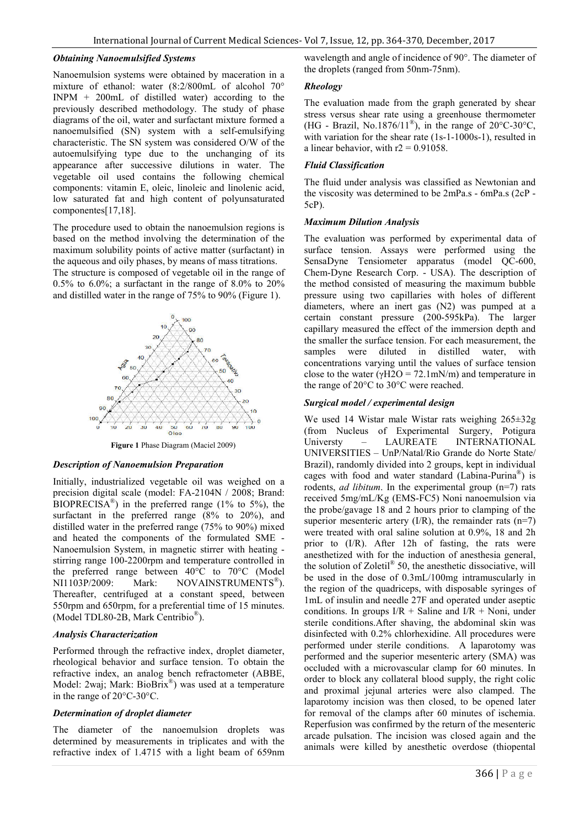## *Obtaining Nanoemulsified Systems*

Nanoemulsion systems were obtained by maceration in a mixture of ethanol: water (8:2/800mL of alcohol 70° INPM + 200mL of distilled water) according to the previously described methodology. The study of phase diagrams of the oil, water and surfactant mixture formed a nanoemulsified (SN) system with a self-emulsifying characteristic. The SN system was considered O/W of the autoemulsifying type due to the unchanging of its appearance after successive dilutions in water. The vegetable oil used contains the following chemical components: vitamin E, oleic, linoleic and linolenic acid, low saturated fat and high content of polyunsaturated componentes[17,18].

The procedure used to obtain the nanoemulsion regions is based on the method involving the determination of the maximum solubility points of active matter (surfactant) in the aqueous and oily phases, by means of mass titrations.

The structure is composed of vegetable oil in the range of 0.5% to 6.0%; a surfactant in the range of 8.0% to  $20\%$ and distilled water in the range of 75% to 90% (Figure 1).



**Figure 1** Phase Diagram (Maciel 2009)

#### *Description of Nanoemulsion Preparation*

Initially, industrialized vegetable oil was weighed on a precision digital scale (model: FA-2104N / 2008; Brand: BIOPRECISA<sup>®</sup>) in the preferred range (1% to 5%), the surfactant in the preferred range (8% to 20%), and distilled water in the preferred range (75% to 90%) mixed and heated the components of the formulated SME - Nanoemulsion System, in magnetic stirrer with heating stirring range 100-2200rpm and temperature controlled in the preferred range between 40°C to 70°C (Model NI1103P/2009: Mark: NOVAINSTRUMENTS<sup>®</sup>). Thereafter, centrifuged at a constant speed, between 550rpm and 650rpm, for a preferential time of 15 minutes. (Model TDL80-2B, Mark Centribio®).

### *Analysis Characterization*

Performed through the refractive index, droplet diameter, rheological behavior and surface tension. To obtain the refractive index, an analog bench refractometer (ABBE, Model: 2waj; Mark: BioBrix<sup>®</sup>) was used at a temperature in the range of 20°C-30°C.

#### *Determination of droplet diameter*

The diameter of the nanoemulsion droplets was determined by measurements in triplicates and with the refractive index of 1.4715 with a light beam of 659nm wavelength and angle of incidence of 90°. The diameter of the droplets (ranged from 50nm-75nm).

## *Rheology*

The evaluation made from the graph generated by shear stress versus shear rate using a greenhouse thermometer (HG - Brazil, No.1876/11<sup>®</sup>), in the range of 20°C-30°C, with variation for the shear rate (1s-1-1000s-1), resulted in a linear behavior, with  $r2 = 0.91058$ .

## *Fluid Classification*

The fluid under analysis was classified as Newtonian and the viscosity was determined to be 2mPa.s - 6mPa.s (2cP - 5cP).

### *Maximum Dilution Analysis*

The evaluation was performed by experimental data of surface tension. Assays were performed using the SensaDyne Tensiometer apparatus (model QC-600, Chem-Dyne Research Corp. - USA). The description of the method consisted of measuring the maximum bubble pressure using two capillaries with holes of different diameters, where an inert gas (N2) was pumped at a certain constant pressure (200-595kPa). The larger capillary measured the effect of the immersion depth and the smaller the surface tension. For each measurement, the samples were diluted in distilled water, with concentrations varying until the values of surface tension close to the water ( $\gamma$ H2O = 72.1mN/m) and temperature in the range of 20°C to 30°C were reached.

### *Surgical model / experimental design*

We used 14 Wistar male Wistar rats weighing 265±32g (from Nucleus of Experimental Surgery, Potigura Universty – LAUREATE INTERNATIONAL UNIVERSITIES – UnP/Natal/Rio Grande do Norte State/ Brazil), randomly divided into 2 groups, kept in individual cages with food and water standard (Labina-Purina<sup>®</sup>) is rodents, *ad libitum*. In the experimental group (n=7) rats received 5mg/mL/Kg (EMS-FC5) Noni nanoemulsion via the probe/gavage 18 and 2 hours prior to clamping of the superior mesenteric artery  $(I/R)$ , the remainder rats  $(n=7)$ were treated with oral saline solution at 0.9%, 18 and 2h prior to (I/R). After 12h of fasting, the rats were anesthetized with for the induction of anesthesia general, the solution of Zoletil<sup>®</sup> 50, the anesthetic dissociative, will be used in the dose of 0.3mL/100mg intramuscularly in the region of the quadriceps, with disposable syringes of 1mL of insulin and needle 27F and operated under aseptic conditions. In groups  $I/R$  + Saline and  $I/R$  + Noni, under sterile conditions.After shaving, the abdominal skin was disinfected with 0.2% chlorhexidine. All procedures were performed under sterile conditions. A laparotomy was performed and the superior mesenteric artery (SMA) was occluded with a microvascular clamp for 60 minutes. In order to block any collateral blood supply, the right colic and proximal jejunal arteries were also clamped. The laparotomy incision was then closed, to be opened later for removal of the clamps after 60 minutes of ischemia. Reperfusion was confirmed by the return of the mesenteric arcade pulsation. The incision was closed again and the animals were killed by anesthetic overdose (thiopental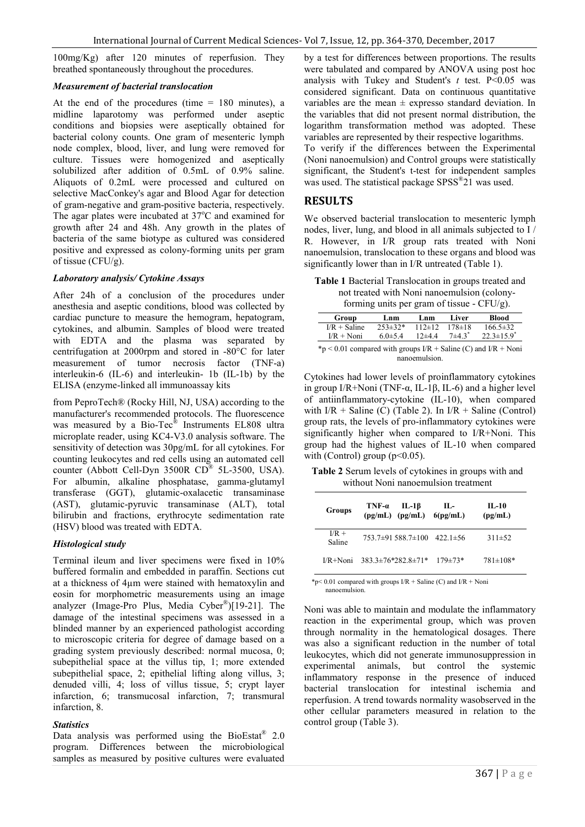100mg/Kg) after 120 minutes of reperfusion. They breathed spontaneously throughout the procedures.

# *Measurement of bacterial translocation*

At the end of the procedures (time  $= 180$  minutes), a midline laparotomy was performed under aseptic conditions and biopsies were aseptically obtained for bacterial colony counts. One gram of mesenteric lymph node complex, blood, liver, and lung were removed for culture. Tissues were homogenized and aseptically solubilized after addition of 0.5mL of 0.9% saline. Aliquots of 0.2mL were processed and cultured on selective MacConkey's agar and Blood Agar for detection of gram-negative and gram-positive bacteria, respectively. The agar plates were incubated at 37°C and examined for growth after 24 and 48h. Any growth in the plates of bacteria of the same biotype as cultured was considered positive and expressed as colony-forming units per gram of tissue (CFU/g).

#### *Laboratory analysis/ Cytokine Assays*

After 24h of a conclusion of the procedures under anesthesia and aseptic conditions, blood was collected by cardiac puncture to measure the hemogram, hepatogram, cytokines, and albumin. Samples of blood were treated with EDTA and the plasma was separated by centrifugation at 2000rpm and stored in -80°C for later measurement of tumor necrosis factor (TNF-a) interleukin-6 (IL-6) and interleukin- 1b (IL-1b) by the ELISA (enzyme-linked all immunoassay kits

from PeproTech® (Rocky Hill, NJ, USA) according to the manufacturer's recommended protocols. The fluorescence was measured by a Bio-Tec® Instruments EL808 ultra microplate reader, using KC4-V3.0 analysis software. The sensitivity of detection was 30pg/mL for all cytokines. For counting leukocytes and red cells using an automated cell counter (Abbott Cell-Dyn 3500R CD® 5L-3500, USA). For albumin, alkaline phosphatase, gamma-glutamyl transferase (GGT), glutamic-oxalacetic transaminase (AST), glutamic-pyruvic transaminase (ALT), total bilirubin and fractions, erythrocyte sedimentation rate (HSV) blood was treated with EDTA.

### *Histological study*

Terminal ileum and liver specimens were fixed in 10% buffered formalin and embedded in paraffin. Sections cut at a thickness of 4µm were stained with hematoxylin and eosin for morphometric measurements using an image analyzer (Image-Pro Plus, Media Cyber®)[19-21]. The damage of the intestinal specimens was assessed in a blinded manner by an experienced pathologist according to microscopic criteria for degree of damage based on a grading system previously described: normal mucosa, 0; subepithelial space at the villus tip, 1; more extended subepithelial space, 2; epithelial lifting along villus, 3; denuded villi, 4; loss of villus tissue, 5; crypt layer infarction, 6; transmucosal infarction, 7; transmural infarction, 8.

### *Statistics*

Data analysis was performed using the BioEstat<sup>®</sup> 2.0 program. Differences between the microbiological samples as measured by positive cultures were evaluated by a test for differences between proportions. The results were tabulated and compared by ANOVA using post hoc analysis with Tukey and Student's  $t$  test. P<0.05 was considered significant. Data on continuous quantitative variables are the mean  $\pm$  expresso standard deviation. In the variables that did not present normal distribution, the logarithm transformation method was adopted. These variables are represented by their respective logarithms. To verify if the differences between the Experimental

(Noni nanoemulsion) and Control groups were statistically significant, the Student's t-test for independent samples was used. The statistical package SPSS<sup>®</sup>21 was used.

# **RESULTS**

We observed bacterial translocation to mesenteric lymph nodes, liver, lung, and blood in all animals subjected to I / R. However, in I/R group rats treated with Noni nanoemulsion, translocation to these organs and blood was significantly lower than in I/R untreated (Table 1).

**Table 1** Bacterial Translocation in groups treated and not treated with Noni nanoemulsion (colony $f_{\text{opmin}} \propto \text{unit}$  per gram of tissue  $\overrightarrow{\text{C}}$ EU/g).

| Group          | Lnm           | Lnm          | Liver        | Blood                        |
|----------------|---------------|--------------|--------------|------------------------------|
| $I/R$ + Saline | $253\pm32*$   | $112 \pm 12$ | $178 \pm 18$ | $166.5\pm32$                 |
| $I/R + Noni$   | 6.0 $\pm$ 5.4 | $12\pm 4.4$  | $7+43$       | $22.3 \pm 15.9$ <sup>*</sup> |

compared nanoemulsion.

Cytokines had lower levels of proinflammatory cytokines in group I/R+Noni (TNF-α, IL-1β, IL-6) and a higher level of antiinflammatory-cytokine (IL-10), when compared with  $I/R$  + Saline (C) (Table 2). In  $I/R$  + Saline (Control) group rats, the levels of pro-inflammatory cytokines were significantly higher when compared to I/R+Noni. This group had the highest values of IL-10 when compared with (Control) group ( $p<0.05$ ).

**Table 2** Serum levels of cytokines in groups with and without Noni nanoemulsion treatment

| Groups            | $TNF-\alpha$<br>$(pg/mL)$ $(pg/mL)$ | $IL-1\beta$                             | п.-<br>6(pg/mL) | $IL-10$<br>(pg/mL) |
|-------------------|-------------------------------------|-----------------------------------------|-----------------|--------------------|
| $I/R +$<br>Saline |                                     | $753.7\pm91.588.7\pm100$ 422.1 $\pm$ 56 |                 | $311\pm52$         |
| $I/R + N$ oni     | $383.3 \pm 76*282.8 \pm 71*$        |                                         | $179 \pm 73*$   | $781 \pm 108*$     |

\*p< 0.01 compared with groups  $I/R$  + Saline (C) and  $I/R$  + Noni nanoemulsion.

Noni was able to maintain and modulate the inflammatory reaction in the experimental group, which was proven through normality in the hematological dosages. There was also a significant reduction in the number of total leukocytes, which did not generate immunosuppression in experimental animals, but control the systemic inflammatory response in the presence of induced bacterial translocation for intestinal ischemia and reperfusion. A trend towards normality wasobserved in the other cellular parameters measured in relation to the control group (Table 3).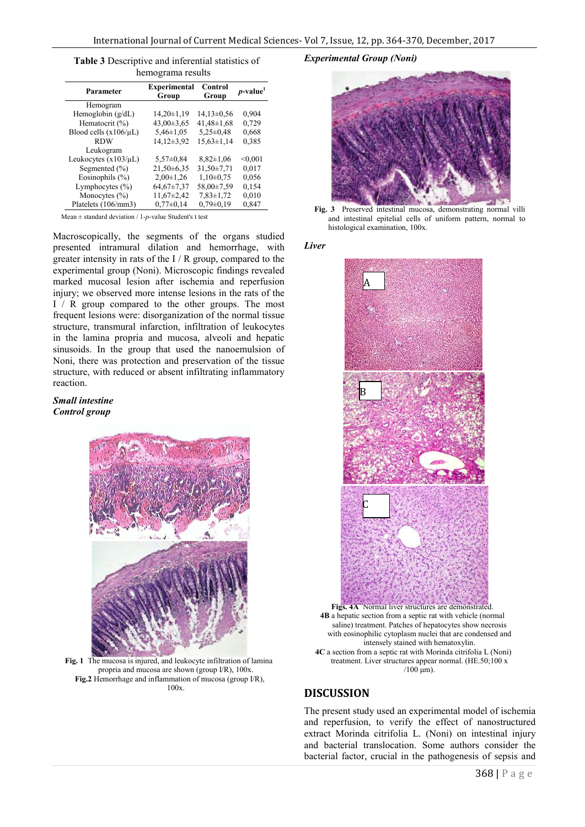| Table 3 Descriptive and inferential statistics of |  |  |  |  |  |  |
|---------------------------------------------------|--|--|--|--|--|--|
| hemograma results                                 |  |  |  |  |  |  |

| Parameter                  | <b>Experimental</b><br>Group | Control<br>Group | $p$ -value <sup>1</sup> |
|----------------------------|------------------------------|------------------|-------------------------|
| Hemogram                   |                              |                  |                         |
| Hemoglobin $(g/dL)$        | $14,20\pm1,19$               | $14,13\pm0.56$   | 0,904                   |
| Hematocrit (%)             | $43,00\pm3,65$               | $41,48 \pm 1,68$ | 0,729                   |
| Blood cells $(x106/\mu L)$ | $5,46\pm1,05$                | $5,25\pm0,48$    | 0,668                   |
| <b>RDW</b>                 | 14,12±3,92                   | $15,63 \pm 1,14$ | 0,385                   |
| Leukogram                  |                              |                  |                         |
| Leukocytes $(x103/\mu L)$  | $5,57\pm0.84$                | $8,82 \pm 1,06$  | < 0.001                 |
| Segmented $(\% )$          | $21,50+6,35$                 | $31.50 \pm 7.71$ | 0,017                   |
| Eosinophils $(\% )$        | $2,00\pm1,26$                | $1,10\pm0.75$    | 0,056                   |
| Lymphocytes $(\% )$        | $64,67\pm7,37$               | 58.00±7.59       | 0,154                   |
| Monocytes $(\% )$          | $11,67\pm2,42$               | $7,83 \pm 1,72$  | 0,010                   |
| Platelets (106/mm3)        | $0.77 \pm 0.14$              | $0.79 \pm 0.19$  | 0,847                   |
|                            |                              |                  |                         |

Mean ± standard deviation / 1-*p*-value Student's t test

Macroscopically, the segments of the organs studied presented intramural dilation and hemorrhage, with greater intensity in rats of the I / R group, compared to the experimental group (Noni). Microscopic findings revealed marked mucosal lesion after ischemia and reperfusion injury; we observed more intense lesions in the rats of the I / R group compared to the other groups. The most frequent lesions were: disorganization of the normal tissue structure, transmural infarction, infiltration of leukocytes in the lamina propria and mucosa, alveoli and hepatic sinusoids. In the group that used the nanoemulsion of Noni, there was protection and preservation of the tissue structure, with reduced or absent infiltrating inflammatory reaction.

## *Small intestine Control group*



**Fig. 1** The mucosa is injured, and leukocyte infiltration of lamina propria and mucosa are shown (group I/R), 100x. **Fig.2** Hemorrhage and inflammation of mucosa (group I/R), 100x.

## *Experimental Group (Noni)*



**Fig. 3** Preserved intestinal mucosa, demonstrating normal villi and intestinal epitelial cells of uniform pattern, normal to histological examination, 100x.

*Liver*



**4B** a hepatic section from a septic rat with vehicle (normal saline) treatment. Patches of hepatocytes show necrosis with eosinophilic cytoplasm nuclei that are condensed and intensely stained with hematoxylin. **4C** a section from a septic rat with Morinda citrifolia L (Noni) treatment. Liver structures appear normal. (HE.50;100 x  $/100 \mu m$ ).

# **DISCUSSION**

The present study used an experimental model of ischemia and reperfusion, to verify the effect of nanostructured extract Morinda citrifolia L. (Noni) on intestinal injury and bacterial translocation. Some authors consider the bacterial factor, crucial in the pathogenesis of sepsis and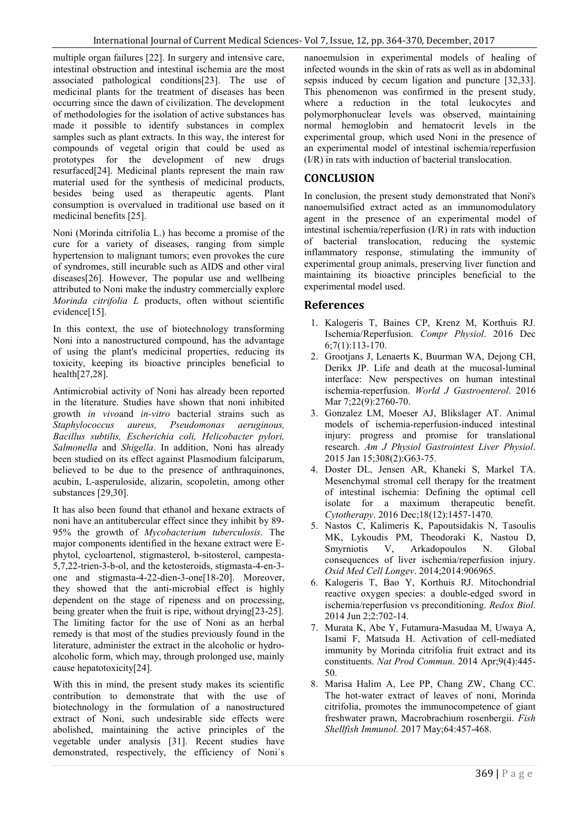multiple organ failures [22]. In surgery and intensive care, intestinal obstruction and intestinal ischemia are the most associated pathological conditions[23]. The use of medicinal plants for the treatment of diseases has been occurring since the dawn of civilization. The development of methodologies for the isolation of active substances has made it possible to identify substances in complex samples such as plant extracts. In this way, the interest for compounds of vegetal origin that could be used as prototypes for the development of new drugs resurfaced[24]. Medicinal plants represent the main raw material used for the synthesis of medicinal products, besides being used as therapeutic agents. Plant consumption is overvalued in traditional use based on it medicinal benefits [25].

Noni (Morinda citrifolia L.) has become a promise of the cure for a variety of diseases, ranging from simple hypertension to malignant tumors; even provokes the cure of syndromes, still incurable such as AIDS and other viral diseases[26]. However, The popular use and wellbeing attributed to Noni make the industry commercially explore *Morinda citrifolia L* products, often without scientific evidence<sup>[15]</sup>.

In this context, the use of biotechnology transforming Noni into a nanostructured compound, has the advantage of using the plant's medicinal properties, reducing its toxicity, keeping its bioactive principles beneficial to health[27,28].

Antimicrobial activity of Noni has already been reported in the literature. Studies have shown that noni inhibited growth *in vivo*and *in-vitro* bacterial strains such as *Staphylococcus aureus, Pseudomonas aeruginous, Bacillus subtilis, Escherichia coli, Helicobacter pylori, Salmonella* and *Shigella*. In addition, Noni has already been studied on its effect against Plasmodium falciparum, believed to be due to the presence of anthraquinones, acubin, L-asperuloside, alizarin, scopoletin, among other substances [29,30].

It has also been found that ethanol and hexane extracts of noni have an antitubercular effect since they inhibit by 89- 95% the growth of *Mycobacterium tuberculosis*. The major components identified in the hexane extract were Ephytol, cycloartenol, stigmasterol, b-sitosterol, campesta-5,7,22-trien-3-b-ol, and the ketosteroids, stigmasta-4-en-3 one and stigmasta-4-22-dien-3-one[18-20]. Moreover, they showed that the anti-microbial effect is highly dependent on the stage of ripeness and on processing, being greater when the fruit is ripe, without drying[23-25]. The limiting factor for the use of Noni as an herbal remedy is that most of the studies previously found in the literature, administer the extract in the alcoholic or hydroalcoholic form, which may, through prolonged use, mainly cause hepatotoxicity[24].

With this in mind, the present study makes its scientific contribution to demonstrate that with the use of biotechnology in the formulation of a nanostructured extract of Noni, such undesirable side effects were abolished, maintaining the active principles of the vegetable under analysis [31]. Recent studies have demonstrated, respectively, the efficiency of Noni´s

nanoemulsion in experimental models of healing of infected wounds in the skin of rats as well as in abdominal sepsis induced by cecum ligation and puncture [32,33]. This phenomenon was confirmed in the present study, where a reduction in the total leukocytes and polymorphonuclear levels was observed, maintaining normal hemoglobin and hematocrit levels in the experimental group, which used Noni in the presence of an experimental model of intestinal ischemia/reperfusion (I/R) in rats with induction of bacterial translocation.

# **CONCLUSION**

In conclusion, the present study demonstrated that Noni's nanoemulsified extract acted as an immunomodulatory agent in the presence of an experimental model of intestinal ischemia/reperfusion (I/R) in rats with induction of bacterial translocation, reducing the systemic inflammatory response, stimulating the immunity of experimental group animals, preserving liver function and maintaining its bioactive principles beneficial to the experimental model used.

# **References**

- 1. Kalogeris T, Baines CP, Krenz M, Korthuis RJ. Ischemia/Reperfusion. *Compr Physiol*. 2016 Dec 6;7(1):113-170.
- 2. Grootjans J, Lenaerts K, Buurman WA, Dejong CH, Derikx JP. Life and death at the mucosal-luminal interface: New perspectives on human intestinal ischemia-reperfusion. *World J Gastroenterol*. 2016 Mar 7;22(9):2760-70.
- 3. Gonzalez LM, Moeser AJ, Blikslager AT. Animal models of ischemia-reperfusion-induced intestinal injury: progress and promise for translational research. *Am J Physiol Gastrointest Liver Physiol*. 2015 Jan 15;308(2):G63-75.
- 4. Doster DL, Jensen AR, Khaneki S, Markel TA. Mesenchymal stromal cell therapy for the treatment of intestinal ischemia: Defining the optimal cell isolate for a maximum therapeutic benefit. *Cytotherapy*. 2016 Dec;18(12):1457-1470.
- 5. Nastos C, Kalimeris K, Papoutsidakis N, Tasoulis MK, Lykoudis PM, Theodoraki K, Nastou D, Smyrniotis V, Arkadopoulos N. Global consequences of liver ischemia/reperfusion injury. *Oxid Med Cell Longev*. 2014;2014:906965.
- 6. Kalogeris T, Bao Y, Korthuis RJ. Mitochondrial reactive oxygen species: a double-edged sword in ischemia/reperfusion vs preconditioning. *Redox Biol.* 2014 Jun 2;2:702-14.
- 7. Murata K, Abe Y, Futamura-Masudaa M, Uwaya A, Isami F, Matsuda H. Activation of cell-mediated immunity by Morinda citrifolia fruit extract and its constituents. *Nat Prod Commun*. 2014 Apr;9(4):445- 50.
- 8. Marisa Halim A, Lee PP, Chang ZW, Chang CC. The hot-water extract of leaves of noni, Morinda citrifolia, promotes the immunocompetence of giant freshwater prawn, Macrobrachium rosenbergii. *Fish Shellfish Immunol.* 2017 May;64:457-468.